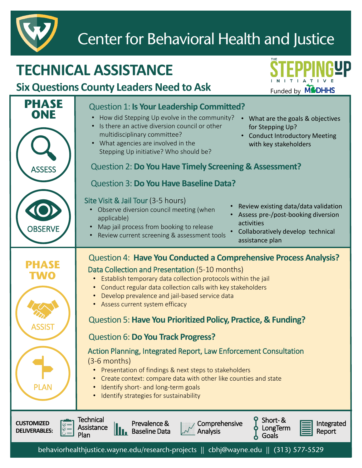

### Center for Behavioral Health and Justice

#### Question 1: **Is Your Leadership Committed? TECHNICAL ASSISTANCE Six Questions County Leaders Need to Ask** Funded by **MCDHHS** • How did Stepping Up evolve in the community? • Is there an active diversion council or other multidisciplinary committee? • What agencies are involved in the Stepping Up initiative? Who should be? Question 2: **Do You Have Timely Screening & Assessment?** Question 3: **Do You Have Baseline Data?** Site Visit & Jail Tour (3-5 hours) • Observe diversion council meeting (when applicable) • Map jail process from booking to release • Review current screening & assessment tools Question 4: **Have You Conducted a Comprehensive Process Analysis?** Data Collection and Presentation (5-10 months) • Establish temporary data collection protocols within the jail • Conduct regular data collection calls with key stakeholders • Develop prevalence and jail-based service data • Assess current system efficacy Question 5: **Have You Prioritized Policy, Practice, & Funding?** Question 6: **Do You Track Progress?** Action Planning, Integrated Report, Law Enforcement Consultation (3-6 months) • Presentation of findings & next steps to stakeholders • Create context: compare data with other like counties and state • Identify short- and long-term goals • Identify strategies for sustainability ASSESS **PHASE ONE OBSERVE** ASSIST PLAN **PHASE TWO CUSTOMIZED DELIVERABLES:** Technical **Assistance** Plan Short-& LongTerm Goals Integrated Report Prevalence & **Baseline Data** Comprehensive Analysis • Review existing data/data validation • Assess pre-/post-booking diversion activities • Collaboratively develop technical assistance plan • What are the goals & objectives for Stepping Up? Conduct Introductory Meeting with key stakeholders